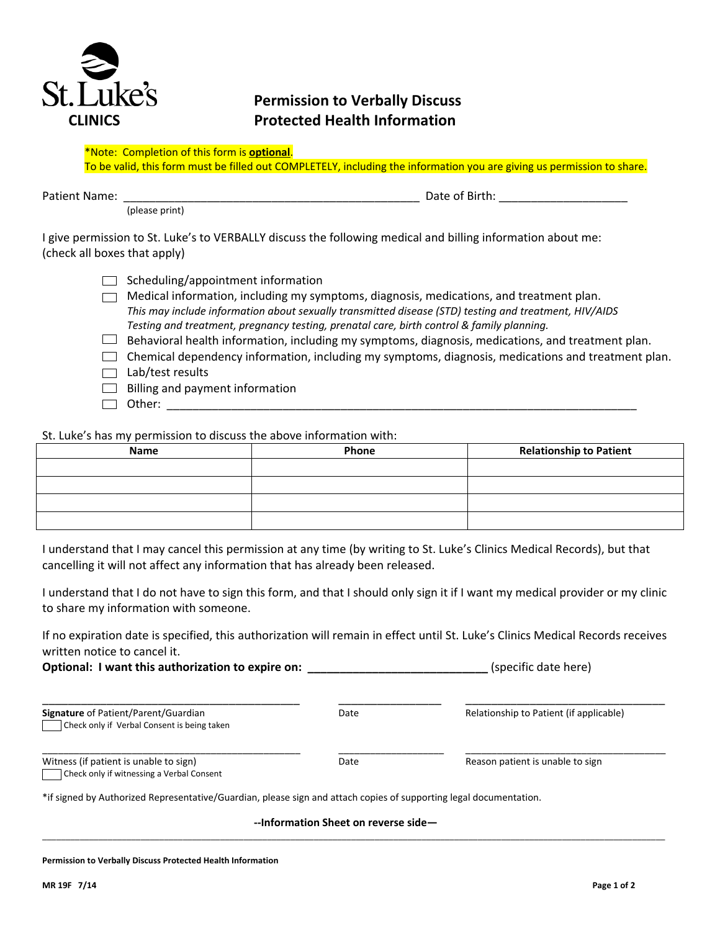

# **Permission to Verbally Discuss CLINICS Protected Health Information**

To be valid, this form must be filled out COMPLETELY, including the information you are giving us permission to share.

(please print)

Patient Name: \_\_\_\_\_\_\_\_\_\_\_\_\_\_\_\_\_\_\_\_\_\_\_\_\_\_\_\_\_\_\_\_\_\_\_\_\_\_\_\_\_\_\_\_\_\_ Date of Birth: \_\_\_\_\_\_\_\_\_\_\_\_\_\_\_\_\_\_\_\_

I give permission to St. Luke's to VERBALLY discuss the following medical and billing information about me: (check all boxes that apply)

|  | $\Box$ Scheduling/appointment information |  |
|--|-------------------------------------------|--|
|  |                                           |  |

- $\Box$  Medical information, including my symptoms, diagnosis, medications, and treatment plan. *This may include information about sexually transmitted disease (STD) testing and treatment, HIV/AIDS Testing and treatment, pregnancy testing, prenatal care, birth control & family planning.*
- $\Box$  Behavioral health information, including my symptoms, diagnosis, medications, and treatment plan.
- $\Box$  Chemical dependency information, including my symptoms, diagnosis, medications and treatment plan.
- $\Box$  Lab/test results
- $\Box$  Billing and payment information
- Other: \_\_\_\_\_\_\_\_\_\_\_\_\_\_\_\_\_\_\_\_\_\_\_\_\_\_\_\_\_\_\_\_\_\_\_\_\_\_\_\_\_\_\_\_\_\_\_\_\_\_\_\_\_\_\_\_\_\_\_\_\_\_\_\_\_\_\_\_\_\_\_\_\_

St. Luke's has my permission to discuss the above information with:

| Name | Phone | <b>Relationship to Patient</b> |
|------|-------|--------------------------------|
|      |       |                                |
|      |       |                                |
|      |       |                                |
|      |       |                                |

I understand that I may cancel this permission at any time (by writing to St. Luke's Clinics Medical Records), but that cancelling it will not affect any information that has already been released.

I understand that I do not have to sign this form, and that I should only sign it if I want my medical provider or my clinic to share my information with someone.

If no expiration date is specified, this authorization will remain in effect until St. Luke's Clinics Medical Records receives written notice to cancel it.

**Optional: I want this authorization to expire on:** *Specific date here* (specific date here)

| <b>Signature of Patient/Parent/Guardian</b> | Date | Relationship to Patient (if applicable) |
|---------------------------------------------|------|-----------------------------------------|
| Check only if Verbal Consent is being taken |      |                                         |

| Witness (if patient is unable to sign)    |  |
|-------------------------------------------|--|
| Check only if witnessing a Verbal Consent |  |

\_\_\_\_\_\_\_\_\_\_\_\_\_\_\_\_\_\_\_\_\_\_\_\_\_\_\_\_\_\_\_\_\_\_\_\_\_\_\_\_\_\_\_\_\_\_\_\_\_ \_\_\_\_\_\_\_\_\_\_\_\_\_\_\_\_\_\_\_\_ \_\_\_\_\_\_\_\_\_\_\_\_\_\_\_\_\_\_\_\_\_\_\_\_\_\_\_\_\_\_\_\_\_\_\_\_\_\_

Date Date Reason patient is unable to sign

\*if signed by Authorized Representative/Guardian, please sign and attach copies of supporting legal documentation.

**--Information Sheet on reverse side—** 

\_\_\_\_\_\_\_\_\_\_\_\_\_\_\_\_\_\_\_\_\_\_\_\_\_\_\_\_\_\_\_\_\_\_\_\_\_\_\_\_\_\_\_\_\_\_\_\_\_\_\_\_\_\_\_\_\_\_\_\_\_\_\_\_\_\_\_\_\_\_\_\_\_\_\_\_\_\_\_\_\_\_\_\_\_\_\_\_\_\_\_\_\_\_\_\_\_\_\_\_\_\_\_\_\_\_\_\_\_\_\_\_\_\_\_\_\_\_\_\_\_\_\_\_\_\_\_\_\_\_\_\_\_